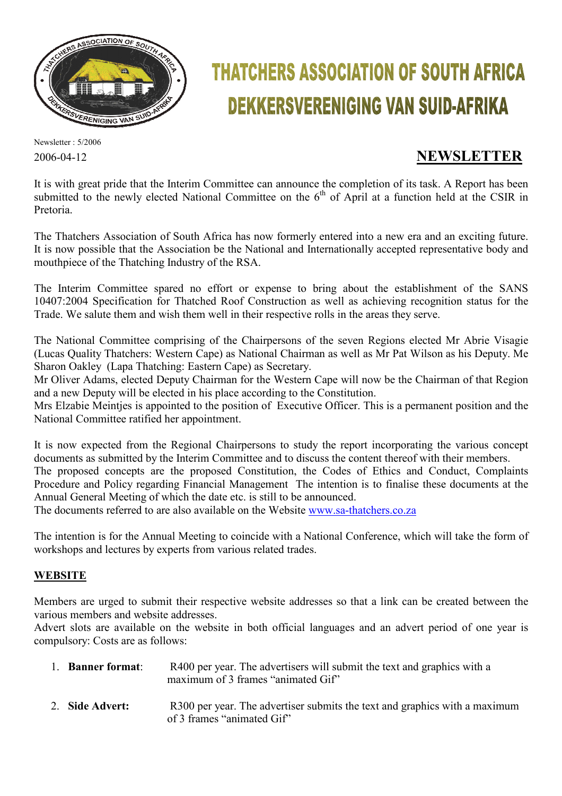

# **THATCHERS ASSOCIATION OF SOUTH AFRICA DEKKERSVERENIGING VAN SUID-AFRIKA**

Newsletter : 5/2006

# 2006-04-12 **NEWSLETTER**

It is with great pride that the Interim Committee can announce the completion of its task. A Report has been submitted to the newly elected National Committee on the 6<sup>th</sup> of April at a function held at the CSIR in Pretoria.

The Thatchers Association of South Africa has now formerly entered into a new era and an exciting future. It is now possible that the Association be the National and Internationally accepted representative body and mouthpiece of the Thatching Industry of the RSA.

The Interim Committee spared no effort or expense to bring about the establishment of the SANS 10407:2004 Specification for Thatched Roof Construction as well as achieving recognition status for the Trade. We salute them and wish them well in their respective rolls in the areas they serve.

The National Committee comprising of the Chairpersons of the seven Regions elected Mr Abrie Visagie (Lucas Quality Thatchers: Western Cape) as National Chairman as well as Mr Pat Wilson as his Deputy. Me Sharon Oakley (Lapa Thatching: Eastern Cape) as Secretary.

Mr Oliver Adams, elected Deputy Chairman for the Western Cape will now be the Chairman of that Region and a new Deputy will be elected in his place according to the Constitution.

Mrs Elzabie Meintjes is appointed to the position of Executive Officer. This is a permanent position and the National Committee ratified her appointment.

It is now expected from the Regional Chairpersons to study the report incorporating the various concept documents as submitted by the Interim Committee and to discuss the content thereof with their members. The proposed concepts are the proposed Constitution, the Codes of Ethics and Conduct, Complaints Procedure and Policy regarding Financial Management The intention is to finalise these documents at the Annual General Meeting of which the date etc. is still to be announced.

The documents referred to are also available on the Website www.sa-thatchers.co.za

The intention is for the Annual Meeting to coincide with a National Conference, which will take the form of workshops and lectures by experts from various related trades.

# **WEBSITE**

Members are urged to submit their respective website addresses so that a link can be created between the various members and website addresses.

Advert slots are available on the website in both official languages and an advert period of one year is compulsory: Costs are as follows:

| 1. Banner format: | R400 per year. The advertisers will submit the text and graphics with a<br>maximum of 3 frames "animated Gif" |
|-------------------|---------------------------------------------------------------------------------------------------------------|
| 2. Side Advert:   | R300 per year. The advertiser submits the text and graphics with a maximum<br>of 3 frames "animated Gif"      |